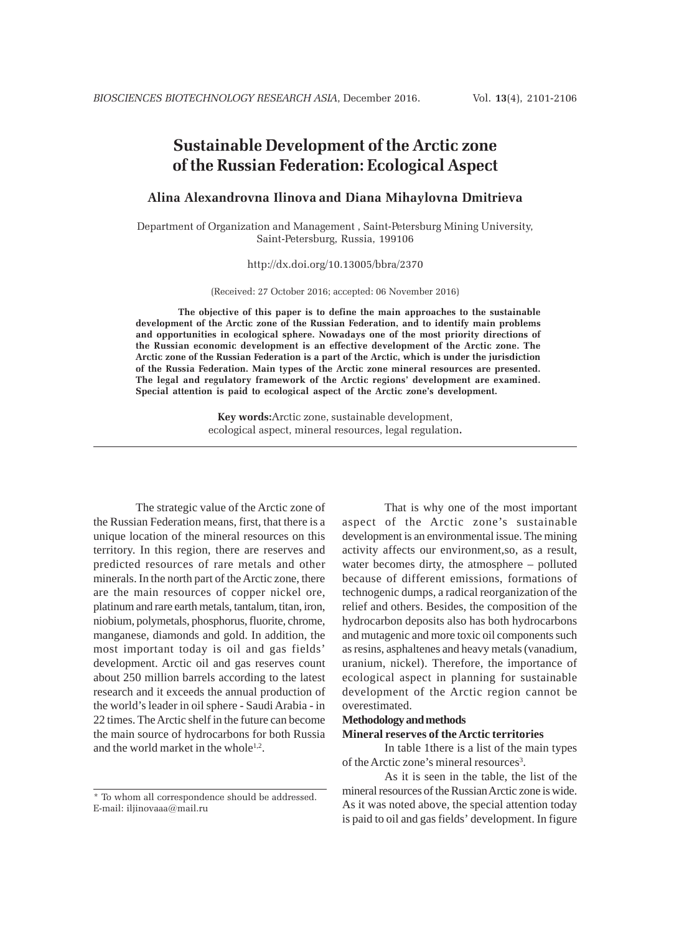# **Sustainable Development of the Arctic zone of the Russian Federation: Ecological Aspect**

## **Alina Alexandrovna Ilinova and Diana Mihaylovna Dmitrieva**

Department of Organization and Management , Saint-Petersburg Mining University, Saint-Petersburg, Russia, 199106

http://dx.doi.org/10.13005/bbra/2370

(Received: 27 October 2016; accepted: 06 November 2016)

**The objective of this paper is to define the main approaches to the sustainable development of the Arctic zone of the Russian Federation, and to identify main problems and opportunities in ecological sphere. Nowadays one of the most priority directions of the Russian economic development is an effective development of the Arctic zone. The Arctic zone of the Russian Federation is a part of the Arctic, which is under the jurisdiction of the Russia Federation. Main types of the Arctic zone mineral resources are presented. The legal and regulatory framework of the Arctic regions' development are examined. Special attention is paid to ecological aspect of the Arctic zone's development.**

> **Key words:**Arctic zone, sustainable development, ecological aspect, mineral resources, legal regulation**.**

The strategic value of the Arctic zone of the Russian Federation means, first, that there is a unique location of the mineral resources on this territory. In this region, there are reserves and predicted resources of rare metals and other minerals. In the north part of the Arctic zone, there are the main resources of copper nickel ore, platinum and rare earth metals, tantalum, titan, iron, niobium, polymetals, phosphorus, fluorite, chrome, manganese, diamonds and gold. In addition, the most important today is oil and gas fields' development. Arctic oil and gas reserves count about 250 million barrels according to the latest research and it exceeds the annual production of the world's leader in oil sphere - Saudi Arabia - in 22 times. The Arctic shelf in the future can become the main source of hydrocarbons for both Russia and the world market in the whole $1,2$ .

That is why one of the most important aspect of the Arctic zone's sustainable development is an environmental issue. The mining activity affects our environment,so, as a result, water becomes dirty, the atmosphere – polluted because of different emissions, formations of technogenic dumps, a radical reorganization of the relief and others. Besides, the composition of the hydrocarbon deposits also has both hydrocarbons and mutagenic and more toxic oil components such as resins, asphaltenes and heavy metals (vanadium, uranium, nickel). Therefore, the importance of ecological aspect in planning for sustainable development of the Arctic region cannot be overestimated.

## **Methodology and methods**

#### **Mineral reserves of the Arctic territories**

In table 1there is a list of the main types of the Arctic zone's mineral resources<sup>3</sup>.

As it is seen in the table, the list of the mineral resources of the Russian Arctic zone is wide. As it was noted above, the special attention today is paid to oil and gas fields' development. In figure

<sup>\*</sup> To whom all correspondence should be addressed. E-mail: iljinovaaa@mail.ru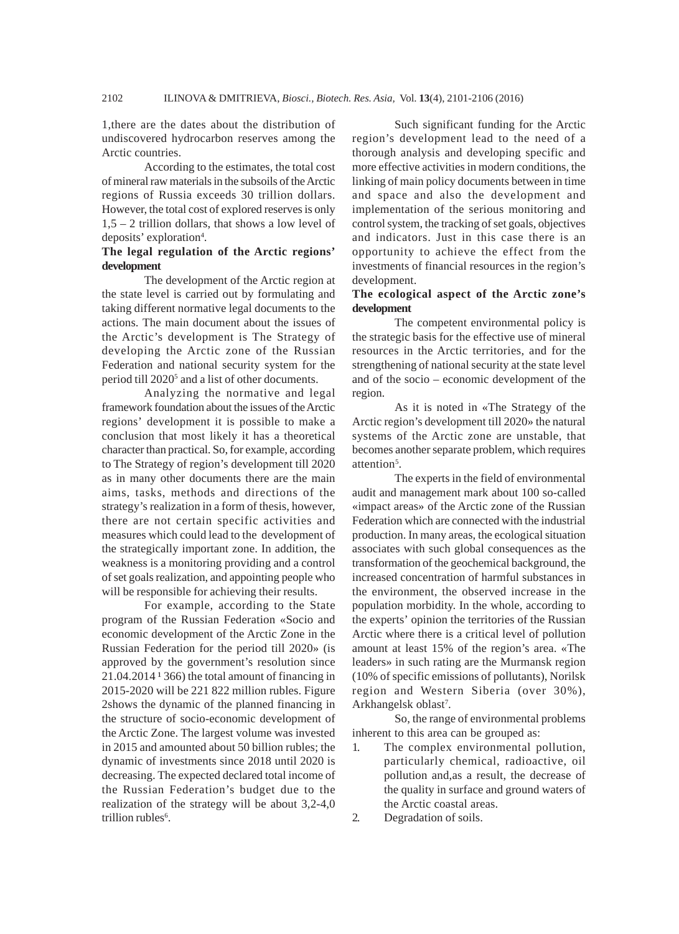1,there are the dates about the distribution of undiscovered hydrocarbon reserves among the Arctic countries.

According to the estimates, the total cost of mineral raw materials in the subsoils of the Arctic regions of Russia exceeds 30 trillion dollars. However, the total cost of explored reserves is only 1,5 – 2 trillion dollars, that shows a low level of deposits' exploration<sup>4</sup>.

## **The legal regulation of the Arctic regions' development**

The development of the Arctic region at the state level is carried out by formulating and taking different normative legal documents to the actions. The main document about the issues of the Arctic's development is The Strategy of developing the Arctic zone of the Russian Federation and national security system for the period till 2020<sup>5</sup> and a list of other documents.

Analyzing the normative and legal framework foundation about the issues of the Arctic regions' development it is possible to make a conclusion that most likely it has a theoretical character than practical. So, for example, according to The Strategy of region's development till 2020 as in many other documents there are the main aims, tasks, methods and directions of the strategy's realization in a form of thesis, however, there are not certain specific activities and measures which could lead to the development of the strategically important zone. In addition, the weakness is a monitoring providing and a control of set goals realization, and appointing people who will be responsible for achieving their results.

For example, according to the State program of the Russian Federation «Socio and economic development of the Arctic Zone in the Russian Federation for the period till 2020» (is approved by the government's resolution since  $21.04.2014$ <sup> $1366$ </sup>) the total amount of financing in 2015-2020 will be 221 822 million rubles. Figure 2shows the dynamic of the planned financing in the structure of socio-economic development of the Arctic Zone. The largest volume was invested in 2015 and amounted about 50 billion rubles; the dynamic of investments since 2018 until 2020 is decreasing. The expected declared total income of the Russian Federation's budget due to the realization of the strategy will be about 3,2-4,0 trillion rubles<sup>6</sup>.

Such significant funding for the Arctic region's development lead to the need of a thorough analysis and developing specific and more effective activities in modern conditions, the linking of main policy documents between in time and space and also the development and implementation of the serious monitoring and control system, the tracking of set goals, objectives and indicators. Just in this case there is an opportunity to achieve the effect from the investments of financial resources in the region's development.

## **The ecological aspect of the Arctic zone's development**

The competent environmental policy is the strategic basis for the effective use of mineral resources in the Arctic territories, and for the strengthening of national security at the state level and of the socio – economic development of the region.

As it is noted in «The Strategy of the Arctic region's development till 2020» the natural systems of the Arctic zone are unstable, that becomes another separate problem, which requires attention<sup>5</sup>.

The experts in the field of environmental audit and management mark about 100 so-called «impact areas» of the Arctic zone of the Russian Federation which are connected with the industrial production. In many areas, the ecological situation associates with such global consequences as the transformation of the geochemical background, the increased concentration of harmful substances in the environment, the observed increase in the population morbidity. In the whole, according to the experts' opinion the territories of the Russian Arctic where there is a critical level of pollution amount at least 15% of the region's area. «The leaders» in such rating are the Murmansk region (10% of specific emissions of pollutants), Norilsk region and Western Siberia (over 30%), Arkhangelsk oblast<sup>7</sup>.

So, the range of environmental problems inherent to this area can be grouped as:

- 1. The complex environmental pollution, particularly chemical, radioactive, oil pollution and,as a result, the decrease of the quality in surface and ground waters of the Arctic coastal areas.
- 2. Degradation of soils.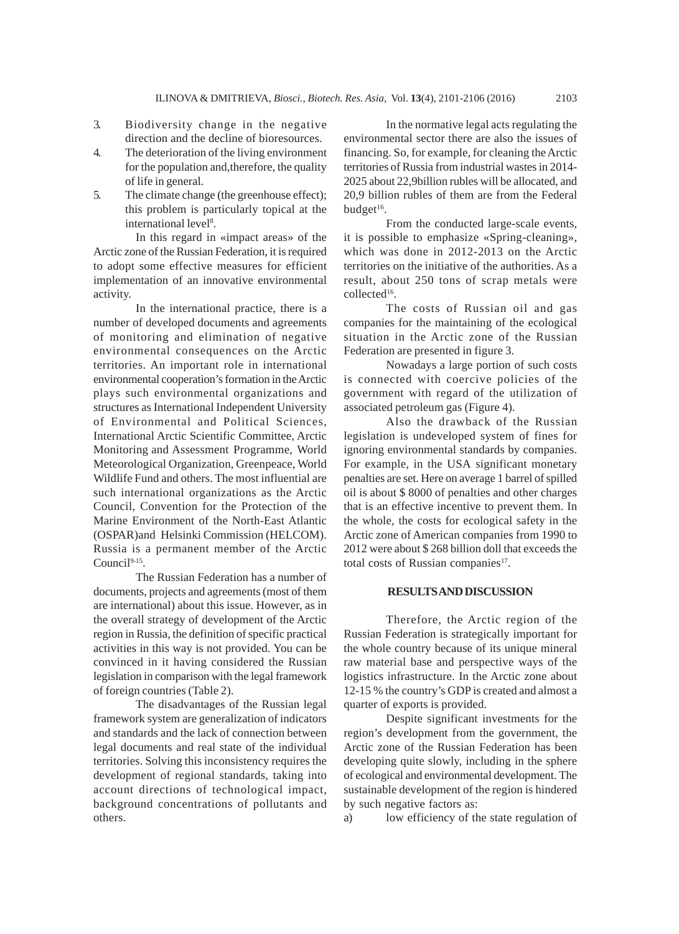- 3. Biodiversity change in the negative direction and the decline of bioresources.
- 4. The deterioration of the living environment for the population and,therefore, the quality of life in general.
- 5. The climate change (the greenhouse effect); this problem is particularly topical at the international level<sup>8</sup>.

In this regard in «impact areas» of the Arctic zone of the Russian Federation, it is required to adopt some effective measures for efficient implementation of an innovative environmental activity.

In the international practice, there is a number of developed documents and agreements of monitoring and elimination of negative environmental consequences on the Arctic territories. An important role in international environmental cooperation's formation in the Arctic plays such environmental organizations and structures as International Independent University of Environmental and Political Sciences, International Arctic Scientific Committee, Arctic Monitoring and Assessment Programme, World Meteorological Organization, Greenpeace, World Wildlife Fund and others. The most influential are such international organizations as the Arctic Council, Convention for the Protection of the Marine Environment of the North-East Atlantic (OSPAR)and Helsinki Commission (HELCOM). Russia is a permanent member of the Arctic Council<sup>9-15</sup>.

The Russian Federation has a number of documents, projects and agreements (most of them are international) about this issue. However, as in the overall strategy of development of the Arctic region in Russia, the definition of specific practical activities in this way is not provided. You can be convinced in it having considered the Russian legislation in comparison with the legal framework of foreign countries (Table 2).

The disadvantages of the Russian legal framework system are generalization of indicators and standards and the lack of connection between legal documents and real state of the individual territories. Solving this inconsistency requires the development of regional standards, taking into account directions of technological impact, background concentrations of pollutants and others.

In the normative legal acts regulating the environmental sector there are also the issues of financing. So, for example, for cleaning the Arctic territories of Russia from industrial wastes in 2014- 2025 about 22,9billion rubles will be allocated, and 20,9 billion rubles of them are from the Federal budget<sup>16</sup>.

From the conducted large-scale events, it is possible to emphasize «Spring-cleaning», which was done in 2012-2013 on the Arctic territories on the initiative of the authorities. As a result, about 250 tons of scrap metals were collected<sup>16</sup>.

The costs of Russian oil and gas companies for the maintaining of the ecological situation in the Arctic zone of the Russian Federation are presented in figure 3.

Nowadays a large portion of such costs is connected with coercive policies of the government with regard of the utilization of associated petroleum gas (Figure 4).

Also the drawback of the Russian legislation is undeveloped system of fines for ignoring environmental standards by companies. For example, in the USA significant monetary penalties are set. Here on average 1 barrel of spilled oil is about \$ 8000 of penalties and other charges that is an effective incentive to prevent them. In the whole, the costs for ecological safety in the Arctic zone of American companies from 1990 to 2012 were about \$ 268 billion doll that exceeds the total costs of Russian companies<sup>17</sup>.

#### **RESULTS AND DISCUSSION**

Therefore, the Arctic region of the Russian Federation is strategically important for the whole country because of its unique mineral raw material base and perspective ways of the logistics infrastructure. In the Arctic zone about 12-15 % the country's GDP is created and almost a quarter of exports is provided.

Despite significant investments for the region's development from the government, the Arctic zone of the Russian Federation has been developing quite slowly, including in the sphere of ecological and environmental development. The sustainable development of the region is hindered by such negative factors as:

a) low efficiency of the state regulation of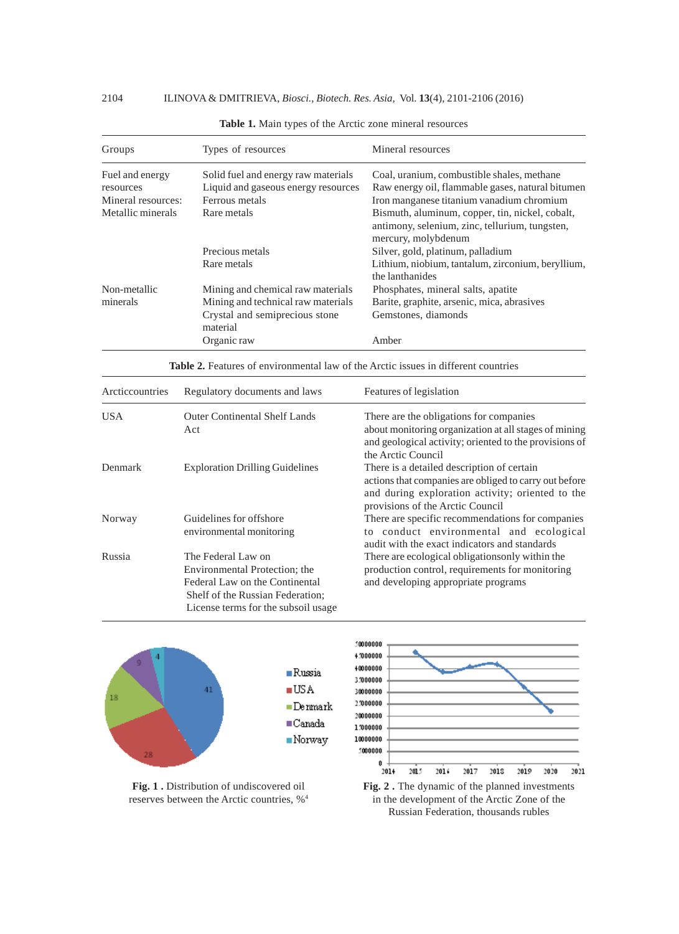| Groups             | Types of resources                         | Mineral resources                                                                                                        |
|--------------------|--------------------------------------------|--------------------------------------------------------------------------------------------------------------------------|
| Fuel and energy    | Solid fuel and energy raw materials        | Coal, uranium, combustible shales, methane                                                                               |
| resources          | Liquid and gaseous energy resources        | Raw energy oil, flammable gases, natural bitumen                                                                         |
| Mineral resources: | Ferrous metals                             | Iron manganese titanium vanadium chromium                                                                                |
| Metallic minerals  | Rare metals                                | Bismuth, aluminum, copper, tin, nickel, cobalt,<br>antimony, selenium, zinc, tellurium, tungsten,<br>mercury, molybdenum |
|                    | Precious metals                            | Silver, gold, platinum, palladium                                                                                        |
|                    | Rare metals                                | Lithium, niobium, tantalum, zirconium, beryllium,<br>the lanthanides                                                     |
| Non-metallic       | Mining and chemical raw materials          | Phosphates, mineral salts, apatite                                                                                       |
| minerals           | Mining and technical raw materials         | Barite, graphite, arsenic, mica, abrasives                                                                               |
|                    | Crystal and semiprecious stone<br>material | Gemstones, diamonds                                                                                                      |
|                    | Organic raw                                | Amber                                                                                                                    |

| Table 1. Main types of the Arctic zone mineral resources |  |  |
|----------------------------------------------------------|--|--|
|                                                          |  |  |

**Table 2.** Features of environmental law of the Arctic issues in different countries

| Arcticcountries | Regulatory documents and laws                                                                                                                                    | Features of legislation                                                                                                                                                                      |
|-----------------|------------------------------------------------------------------------------------------------------------------------------------------------------------------|----------------------------------------------------------------------------------------------------------------------------------------------------------------------------------------------|
| USA.            | <b>Outer Continental Shelf Lands</b><br>Act                                                                                                                      | There are the obligations for companies<br>about monitoring organization at all stages of mining<br>and geological activity; oriented to the provisions of<br>the Arctic Council             |
| Denmark         | <b>Exploration Drilling Guidelines</b>                                                                                                                           | There is a detailed description of certain<br>actions that companies are obliged to carry out before<br>and during exploration activity; oriented to the<br>provisions of the Arctic Council |
| Norway          | Guidelines for offshore<br>environmental monitoring                                                                                                              | There are specific recommendations for companies<br>to conduct environmental and ecological<br>audit with the exact indicators and standards                                                 |
| Russia          | The Federal Law on<br>Environmental Protection; the<br>Federal Law on the Continental<br>Shelf of the Russian Federation:<br>License terms for the subsoil usage | There are ecological obligations only within the<br>production control, requirements for monitoring<br>and developing appropriate programs                                                   |





**Fig. 1 .** Distribution of undiscovered oil reserves between the Arctic countries, %4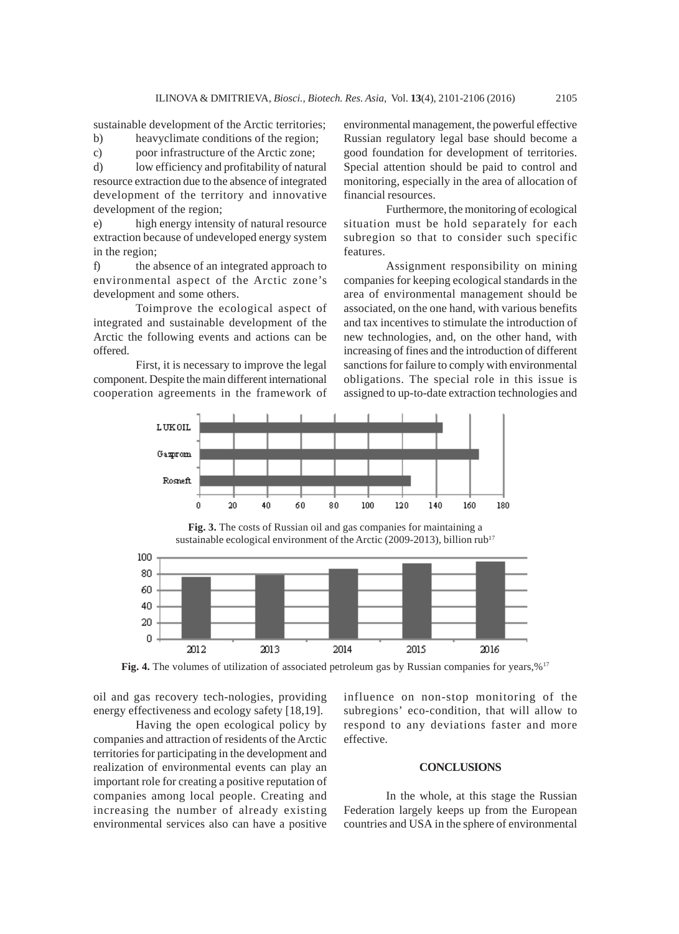sustainable development of the Arctic territories;

b) heavyclimate conditions of the region;

c) poor infrastructure of the Arctic zone;

d) low efficiency and profitability of natural resource extraction due to the absence of integrated development of the territory and innovative development of the region;

e) high energy intensity of natural resource extraction because of undeveloped energy system in the region;

f) the absence of an integrated approach to environmental aspect of the Arctic zone's development and some others.

Toimprove the ecological aspect of integrated and sustainable development of the Arctic the following events and actions can be offered.

First, it is necessary to improve the legal component. Despite the main different international cooperation agreements in the framework of environmental management, the powerful effective Russian regulatory legal base should become a good foundation for development of territories. Special attention should be paid to control and monitoring, especially in the area of allocation of financial resources.

Furthermore, the monitoring of ecological situation must be hold separately for each subregion so that to consider such specific features.

Assignment responsibility on mining companies for keeping ecological standards in the area of environmental management should be associated, on the one hand, with various benefits and tax incentives to stimulate the introduction of new technologies, and, on the other hand, with increasing of fines and the introduction of different sanctions for failure to comply with environmental obligations. The special role in this issue is assigned to up-to-date extraction technologies and



**Fig. 3.** The costs of Russian oil and gas companies for maintaining a sustainable ecological environment of the Arctic (2009-2013), billion rub<sup>17</sup>



**Fig. 4.** The volumes of utilization of associated petroleum gas by Russian companies for years,%<sup>17</sup>

oil and gas recovery tech-nologies, providing energy effectiveness and ecology safety [18,19].

Having the open ecological policy by companies and attraction of residents of the Arctic territories for participating in the development and realization of environmental events can play an important role for creating a positive reputation of companies among local people. Creating and increasing the number of already existing environmental services also can have a positive influence on non-stop monitoring of the subregions' eco-condition, that will allow to respond to any deviations faster and more effective.

#### **CONCLUSIONS**

In the whole, at this stage the Russian Federation largely keeps up from the European countries and USA in the sphere of environmental